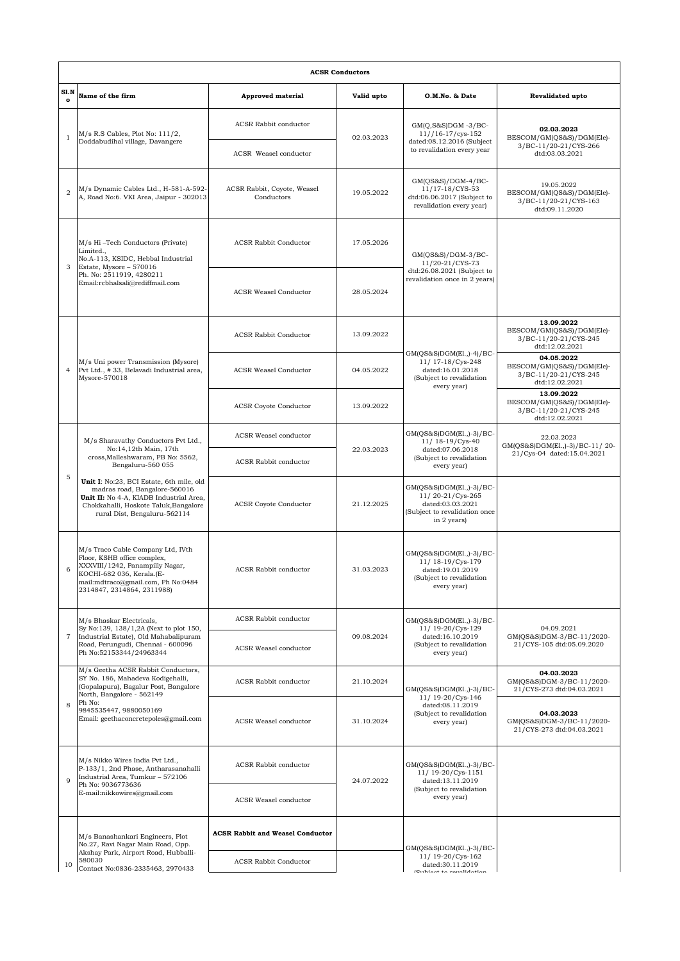|                  | <b>ACSR Conductors</b>                                                                                                                                                                                                                                                                                                    |                                           |            |                                                                                                                  |                                                                                    |  |  |  |  |  |
|------------------|---------------------------------------------------------------------------------------------------------------------------------------------------------------------------------------------------------------------------------------------------------------------------------------------------------------------------|-------------------------------------------|------------|------------------------------------------------------------------------------------------------------------------|------------------------------------------------------------------------------------|--|--|--|--|--|
| S1.N<br>$\Omega$ | Name of the firm                                                                                                                                                                                                                                                                                                          | <b>Approved material</b>                  | Valid upto | O.M.No. & Date                                                                                                   | Revalidated upto                                                                   |  |  |  |  |  |
| $1\,$            | M/s R.S Cables, Plot No: 111/2,<br>Doddabudihal village, Davangere                                                                                                                                                                                                                                                        | ACSR Rabbit conductor                     | 02.03.2023 | $GM(Q,S&S)DGM -3/BC-$<br>$11//16-17/cys-152$<br>dated:08.12.2016 (Subject<br>to revalidation every year          | 02.03.2023<br>BESCOM/GM(QS&S)/DGM(Ele)-<br>3/BC-11/20-21/CYS-266<br>dtd:03.03.2021 |  |  |  |  |  |
|                  |                                                                                                                                                                                                                                                                                                                           | ACSR Weasel conductor                     |            |                                                                                                                  |                                                                                    |  |  |  |  |  |
| $\overline{2}$   | M/s Dynamic Cables Ltd., H-581-A-592-<br>A, Road No:6. VKI Area, Jaipur - 302013                                                                                                                                                                                                                                          | ACSR Rabbit, Coyote, Weasel<br>Conductors | 19.05.2022 | $GM(QS&S)/DGM-4/BC-$<br>11/17-18/CYS-53<br>dtd:06.06.2017 (Subject to<br>revalidation every year)                | 19.05.2022<br>BESCOM/GM(QS&S)/DGM(Ele)-<br>3/BC-11/20-21/CYS-163<br>dtd:09.11.2020 |  |  |  |  |  |
| 3                | M/s Hi-Tech Conductors (Private)<br>Limited.,<br>No.A-113, KSIDC, Hebbal Industrial<br>Estate, Mysore - 570016<br>Ph. No: 2511919, 4280211<br>Email:rcbhalsali@rediffmail.com                                                                                                                                             | <b>ACSR Rabbit Conductor</b>              | 17.05.2026 | GM(QS&S)/DGM-3/BC-<br>11/20-21/CYS-73<br>dtd:26.08.2021 (Subject to<br>revalidation once in 2 years)             |                                                                                    |  |  |  |  |  |
|                  |                                                                                                                                                                                                                                                                                                                           | <b>ACSR Weasel Conductor</b>              | 28.05.2024 |                                                                                                                  |                                                                                    |  |  |  |  |  |
| $\overline{4}$   | M/s Uni power Transmission (Mysore)<br>Pvt Ltd., #33, Belavadi Industrial area,<br>Mysore-570018                                                                                                                                                                                                                          | <b>ACSR Rabbit Conductor</b>              | 13.09.2022 | GM(QS&S)DGM(El.,)-4)/BC-<br>11/ 17-18/Cys-248<br>dated:16.01.2018<br>(Subject to revalidation<br>every year)     | 13.09.2022<br>BESCOM/GM(QS&S)/DGM(Ele)-<br>3/BC-11/20-21/CYS-245<br>dtd:12.02.2021 |  |  |  |  |  |
|                  |                                                                                                                                                                                                                                                                                                                           | <b>ACSR Weasel Conductor</b>              | 04.05.2022 |                                                                                                                  | 04.05.2022<br>BESCOM/GM(QS&S)/DGM(Ele)-<br>3/BC-11/20-21/CYS-245<br>dtd:12.02.2021 |  |  |  |  |  |
|                  |                                                                                                                                                                                                                                                                                                                           | <b>ACSR Coyote Conductor</b>              | 13.09.2022 |                                                                                                                  | 13.09.2022<br>BESCOM/GM(QS&S)/DGM(Ele)-<br>3/BC-11/20-21/CYS-245<br>dtd:12.02.2021 |  |  |  |  |  |
| 5                | M/s Sharavathy Conductors Pvt Ltd.,<br>No: 14, 12th Main, 17th<br>cross, Malleshwaram, PB No: 5562,<br>Bengaluru-560 055<br>Unit I: No:23, BCI Estate, 6th mile, old<br>madras road, Bangalore-560016<br>Unit II: No 4-A, KIADB Industrial Area,<br>Chokkahalli, Hoskote Taluk, Bangalore<br>rural Dist, Bengaluru-562114 | ACSR Weasel conductor                     |            | GM(QS&S)DGM(El.,)-3)/BC-<br>11/ 18-19/Cys-40<br>dated:07.06.2018<br>(Subject to revalidation<br>every year)      | 22.03.2023<br>GM(QS&S)DGM(El.,)-3)/BC-11/20-                                       |  |  |  |  |  |
|                  |                                                                                                                                                                                                                                                                                                                           | <b>ACSR Rabbit conductor</b>              | 22.03.2023 |                                                                                                                  | 21/Cys-04 dated:15.04.2021                                                         |  |  |  |  |  |
|                  |                                                                                                                                                                                                                                                                                                                           | <b>ACSR Coyote Conductor</b>              | 21.12.2025 | GM(QS&S)DGM(El.,)-3)/BC-<br>11/20-21/Cys-265<br>dated:03.03.2021<br>(Subject to revalidation once<br>in 2 years) |                                                                                    |  |  |  |  |  |
| 6                | M/s Traco Cable Company Ltd, IVth<br>Floor, KSHB office complex,<br>XXXVIII/1242, Panampilly Nagar,<br>KOCHI-682 036, Kerala.(E-<br>mail:mdtraco@gmail.com, Ph No:0484<br>2314847, 2314864, 2311988)                                                                                                                      | ACSR Rabbit conductor                     | 31.03.2023 | $GM(QS&S)DGM(E1.,-3)/BC-$<br>11/ 18-19/Cys-179<br>dated:19.01.2019<br>(Subject to revalidation<br>every year)    |                                                                                    |  |  |  |  |  |
|                  | M/s Bhaskar Electricals,<br>Sy No:139, 138/1,2A (Next to plot 150,<br>Industrial Estate), Old Mahabalipuram<br>Road, Perungudi, Chennai - 600096<br>Ph No:52153344/24963344                                                                                                                                               | <b>ACSR Rabbit conductor</b>              | 09.08.2024 | GM(QS&S)DGM(El.,)-3)/BC-<br>11/ 19-20/Cys-129<br>dated:16.10.2019<br>(Subject to revalidation<br>every year)     | 04.09.2021<br>GM(QS&S)DGM-3/BC-11/2020-<br>21/CYS-105 dtd:05.09.2020               |  |  |  |  |  |
| $\overline{7}$   |                                                                                                                                                                                                                                                                                                                           | ACSR Weasel conductor                     |            |                                                                                                                  |                                                                                    |  |  |  |  |  |
| 8                | M/s Geetha ACSR Rabbit Conductors,<br>SY No. 186, Mahadeva Kodigehalli,<br>(Gopalapura), Bagalur Post, Bangalore<br>North, Bangalore - 562149<br>Ph No:<br>9845535447, 9880050169<br>Email: geethaconcretepoles@gmail.com                                                                                                 | <b>ACSR Rabbit conductor</b>              | 21.10.2024 | GM(QS&S)DGM(El.,)-3)/BC-<br>11/ 19-20/Cys-146<br>dated:08.11.2019<br>(Subject to revalidation<br>every year)     | 04.03.2023<br>GM(QS&S)DGM-3/BC-11/2020-<br>21/CYS-273 dtd:04.03.2021               |  |  |  |  |  |
|                  |                                                                                                                                                                                                                                                                                                                           | ACSR Weasel conductor                     | 31.10.2024 |                                                                                                                  | 04.03.2023<br>GM(QS&S)DGM-3/BC-11/2020-<br>21/CYS-273 dtd:04.03.2021               |  |  |  |  |  |
| $\overline{Q}$   | M/s Nikko Wires India Pvt Ltd.,<br>P-133/1, 2nd Phase, Antharasanahalli<br>Industrial Area, Tumkur - 572106<br>Ph No: 9036773636<br>E-mail:nikkowires@gmail.com                                                                                                                                                           | <b>ACSR Rabbit conductor</b>              | 24.07.2022 | GM(QS&S)DGM(El.,)-3)/BC-<br>11/ 19-20/Cys-1151<br>dated:13.11.2019<br>(Subject to revalidation<br>every year)    |                                                                                    |  |  |  |  |  |
|                  |                                                                                                                                                                                                                                                                                                                           | ACSR Weasel conductor                     |            |                                                                                                                  |                                                                                    |  |  |  |  |  |
| 10               | M/s Banashankari Engineers, Plot<br>No.27, Ravi Nagar Main Road, Opp.<br>Akshay Park, Airport Road, Hubballi-<br>580030<br>Contact No:0836-2335463, 2970433                                                                                                                                                               | <b>ACSR Rabbit and Weasel Conductor</b>   |            | GM(QS&S)DGM(El.,)-3)/BC-<br>11/19-20/Cys-162<br>dated:30.11.2019<br><b>Cupicat to royalidation</b>               |                                                                                    |  |  |  |  |  |
|                  |                                                                                                                                                                                                                                                                                                                           | <b>ACSR Rabbit Conductor</b>              |            |                                                                                                                  |                                                                                    |  |  |  |  |  |
|                  |                                                                                                                                                                                                                                                                                                                           |                                           |            |                                                                                                                  |                                                                                    |  |  |  |  |  |